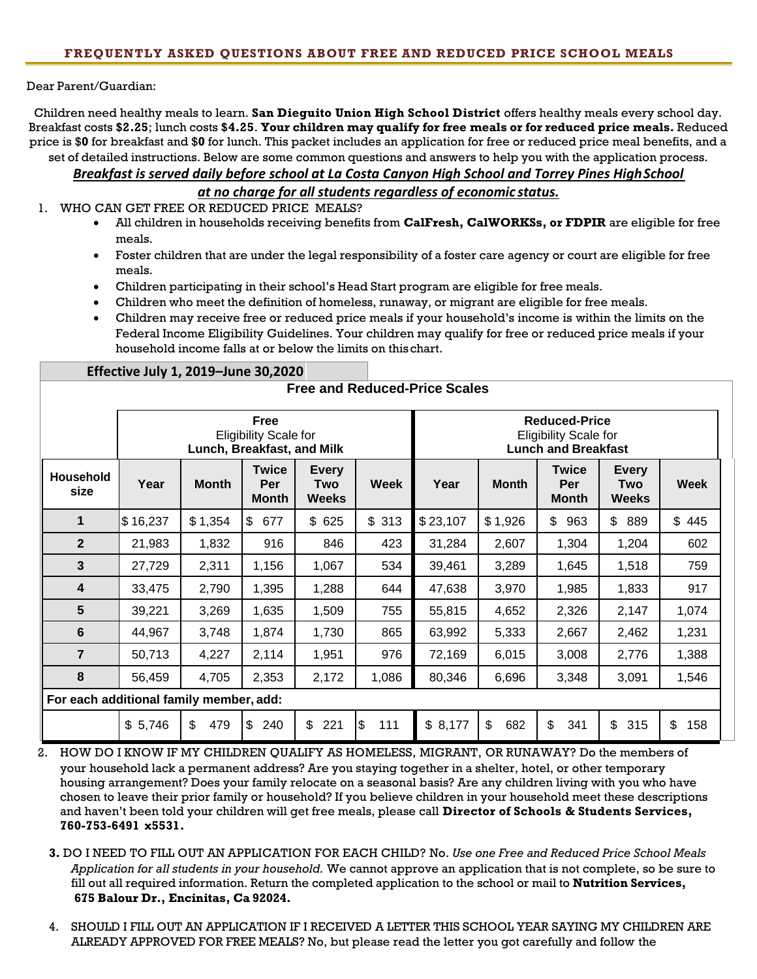Dear Parent/Guardian:

Children need healthy meals to learn. **San Dieguito Union High School District** offers healthy meals every school day. Breakfast costs **\$2.25**; lunch costs **\$4.25**. **Your children may qualify for free meals or for reduced price meals.** Reduced price is \$**0** for breakfast and \$**0** for lunch. This packet includes an application for free or reduced price meal benefits, and a set of detailed instructions. Below are some common questions and answers to help you with the application process.

*Breakfast is served daily before school at La Costa Canyon High School and Torrey Pines HighSchool* 

*at no charge for all students regardless of economic status.*

1. WHO CAN GET FREE OR REDUCED PRICE MEALS?

**Effective July 1, 2019–June 30,2020**

- All children in households receiving benefits from **CalFresh, CalWORKSs, or FDPIR** are eligible for free meals.
- Foster children that are under the legal responsibility of a foster care agency or court are eligible for free meals.
- Children participating in their school's Head Start program are eligible for free meals.
- Children who meet the definition of homeless, runaway, or migrant are eligible for free meals.
- Children may receive free or reduced price meals if your household's income is within the limits on the Federal Income Eligibility Guidelines. Your children may qualify for free or reduced price meals if your household income falls at or below the limits on thischart.

| <b>Free and Reduced-Price Scales</b>    |                                                                    |              |                                     |                                     |             |                                                                                    |              |                                     |                                            |           |
|-----------------------------------------|--------------------------------------------------------------------|--------------|-------------------------------------|-------------------------------------|-------------|------------------------------------------------------------------------------------|--------------|-------------------------------------|--------------------------------------------|-----------|
|                                         | Free<br><b>Eligibility Scale for</b><br>Lunch, Breakfast, and Milk |              |                                     |                                     |             | <b>Reduced-Price</b><br><b>Eligibility Scale for</b><br><b>Lunch and Breakfast</b> |              |                                     |                                            |           |
| Household<br>size                       | Year                                                               | <b>Month</b> | <b>Twice</b><br>Per<br><b>Month</b> | <b>Every</b><br>Two<br><b>Weeks</b> | <b>Week</b> | Year                                                                               | <b>Month</b> | <b>Twice</b><br>Per<br><b>Month</b> | <b>Every</b><br><b>Two</b><br><b>Weeks</b> | Week      |
| 1                                       | \$16,237                                                           | \$1,354      | $\mathbb{S}$<br>677                 | \$<br>625                           | \$313       | \$23,107                                                                           | \$1,926      | \$<br>963                           | \$<br>889                                  | \$445     |
| $\mathbf{2}$                            | 21,983                                                             | 1,832        | 916                                 | 846                                 | 423         | 31,284                                                                             | 2,607        | 1,304                               | 1,204                                      | 602       |
| 3                                       | 27,729                                                             | 2,311        | 1,156                               | 1,067                               | 534         | 39,461                                                                             | 3,289        | 1,645                               | 1,518                                      | 759       |
| 4                                       | 33,475                                                             | 2,790        | 1,395                               | 1,288                               | 644         | 47,638                                                                             | 3,970        | 1,985                               | 1,833                                      | 917       |
| 5                                       | 39,221                                                             | 3,269        | 1,635                               | 1,509                               | 755         | 55,815                                                                             | 4,652        | 2,326                               | 2,147                                      | 1,074     |
| 6                                       | 44,967                                                             | 3,748        | 1,874                               | 1,730                               | 865         | 63,992                                                                             | 5,333        | 2,667                               | 2,462                                      | 1,231     |
| $\overline{7}$                          | 50,713                                                             | 4,227        | 2,114                               | 1,951                               | 976         | 72,169                                                                             | 6,015        | 3,008                               | 2,776                                      | 1,388     |
| 8                                       | 56,459                                                             | 4,705        | 2,353                               | 2,172                               | 1,086       | 80,346                                                                             | 6,696        | 3,348                               | 3,091                                      | 1,546     |
| For each additional family member, add: |                                                                    |              |                                     |                                     |             |                                                                                    |              |                                     |                                            |           |
|                                         | \$5,746                                                            | \$<br>479    | \$<br>240                           | \$<br>221                           | \$<br>111   | \$8,177                                                                            | \$<br>682    | \$<br>341                           | \$<br>315                                  | \$<br>158 |

2. HOW DO I KNOW IF MY CHILDREN QUALIFY AS HOMELESS, MIGRANT, OR RUNAWAY? Do the members of your household lack a permanent address? Are you staying together in a shelter, hotel, or other temporary housing arrangement? Does your family relocate on a seasonal basis? Are any children living with you who have chosen to leave their prior family or household? If you believe children in your household meet these descriptions and haven't been told your children will get free meals, please call **Director of Schools & Students Services, 760-753-6491 x5531.**

- **3.** DO I NEED TO FILL OUT AN APPLICATION FOR EACH CHILD? No. *Use one Free and Reduced Price School Meals Application for all students in your household.* We cannot approve an application that is not complete, so be sure to fill out all required information. Return the completed application to the school or mail to **Nutrition Services, 675 Balour Dr., Encinitas, Ca 92024.**
- 4. SHOULD I FILL OUT AN APPLICATION IF I RECEIVED A LETTER THIS SCHOOL YEAR SAYING MY CHILDREN ARE ALREADY APPROVED FOR FREE MEALS? No, but please read the letter you got carefully and follow the